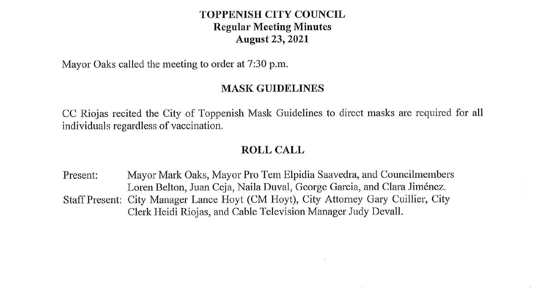### **TOPPENISH CITY COUNCIL Regular Meeting Minutes August 23, 2021**

Mayor Oaks called the meeting to order at 7:30 p.m.

### **MASK GUIDELINES**

CC Riojas recited the City of Toppenish Mask Guidelines to direct masks are required for all individuals regardless of vaccination.

### **ROLL CALL**

Present: Mayor Mark Oaks, Mayor Pro Tem Elpidia Saavedra, and Councilmembers Loren Belton, Juan Ceja, Naila Duval, George Garcia, and Clara Jimenez. Staff Present: City Manager Lance Hoyt (CM Hoyt), City Attorney Gary Cuillier, City Clerk Heidi Riojas, and Cable Television Manager Judy Devall.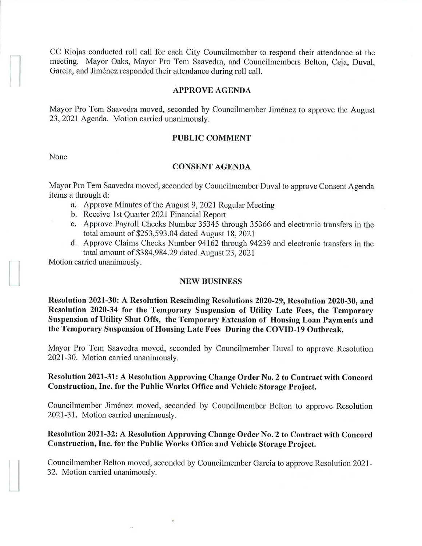CC Riojas conducted roll call for each City Councilmember to respond their attendance at the meeting. Mayor Oaks, Mayor Pro Tem Saavedra, and Councilmembers Belton, Ceja, Duval, Garcia, and Jiménez responded their attendance during roll call.

#### **APPROVE AGENDA**

Mayor Pro Tem Saavedra moved, seconded by Councilmember Jiménez to approve the August 23, 2021 Agenda. Motion carried unanimously.

### **PUBLIC COMMENT**

None

 $\begin{array}{c} \hline \end{array}$ 

#### **CONSENT AGENDA**

Mayor Pro Tem Saavedra moved, seconded by Councilmember Duval to approve Consent Agenda items a through d:

- a. Approve Minutes of the August 9, 2021 Regular Meeting
- b. Receive 1st Quarter 2021 Financial Report
- c. Approve Payroll Checks Number 35345 through 35366 and electronic transfers in the total amount of \$253,593.04 dated August 18, 2021
- d. Approve Claims Checks Number 94162 through 94239 and electronic transfers in the total amount of \$384,984.29 dated August 23, 2021

Motion carried unanimously.

#### **NEW BUSINESS**

**Resolution 2021-30: A Resolution Rescinding Resolutions 2020-29, Resolution 2020-30, and Resolution 2020-34 for the Temporary Suspension of Utility Late Fees, the Temporary Suspension of Utility Shut Offs, the Temporary Extension of Housing Loan Payments and the Temporary Suspension of Housing Late Fees During the COVID-19 Outbreak.** 

Mayor Pro Tem Saavedra moved, seconded by Councilmember Duval to approve Resolution 2021-30. Motion carried unanimously.

### **Resolution 2021-31: A Resolution Approving Change Order No. 2 to Contract with Concord Construction, Inc. for the Public Works Office and Vehicle Storage Project.**

Councilmember Jimenez moved, seconded by Councilmember Belton to approve Resolution 2021-31. Motion carried unanimously.

# **Resolution 2021-32: A Resolution Approving Change Order No. 2 to Contract with Concord Construction, Inc. for the Public Works Office and Vehicle Storage Project.**

Councilmember Belton moved, seconded by Councilmember Garcia to approve Resolution 2021- 32. Motion carried unanimously.